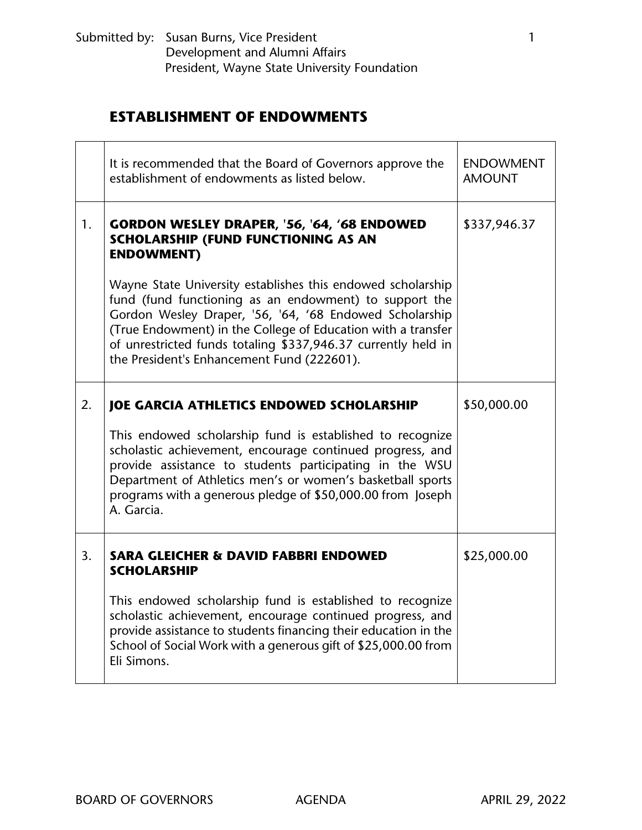|    | It is recommended that the Board of Governors approve the<br>establishment of endowments as listed below.                                                                                                                                                                                                                                                       | <b>ENDOWMENT</b><br><b>AMOUNT</b> |
|----|-----------------------------------------------------------------------------------------------------------------------------------------------------------------------------------------------------------------------------------------------------------------------------------------------------------------------------------------------------------------|-----------------------------------|
| 1. | GORDON WESLEY DRAPER, '56, '64, '68 ENDOWED<br>SCHOLARSHIP (FUND FUNCTIONING AS AN<br><b>ENDOWMENT)</b>                                                                                                                                                                                                                                                         | \$337,946.37                      |
|    | Wayne State University establishes this endowed scholarship<br>fund (fund functioning as an endowment) to support the<br>Gordon Wesley Draper, '56, '64, '68 Endowed Scholarship<br>(True Endowment) in the College of Education with a transfer<br>of unrestricted funds totaling \$337,946.37 currently held in<br>the President's Enhancement Fund (222601). |                                   |
| 2. | <b>JOE GARCIA ATHLETICS ENDOWED SCHOLARSHIP</b>                                                                                                                                                                                                                                                                                                                 | \$50,000.00                       |
|    | This endowed scholarship fund is established to recognize<br>scholastic achievement, encourage continued progress, and<br>provide assistance to students participating in the WSU<br>Department of Athletics men's or women's basketball sports<br>programs with a generous pledge of \$50,000.00 from Joseph<br>A. Garcia.                                     |                                   |
| 3. | <b>SARA GLEICHER &amp; DAVID FABBRI ENDOWED</b><br><b>SCHOLARSHIP</b>                                                                                                                                                                                                                                                                                           | \$25,000.00                       |
|    | This endowed scholarship fund is established to recognize<br>scholastic achievement, encourage continued progress, and<br>provide assistance to students financing their education in the<br>School of Social Work with a generous gift of \$25,000.00 from<br>Eli Simons.                                                                                      |                                   |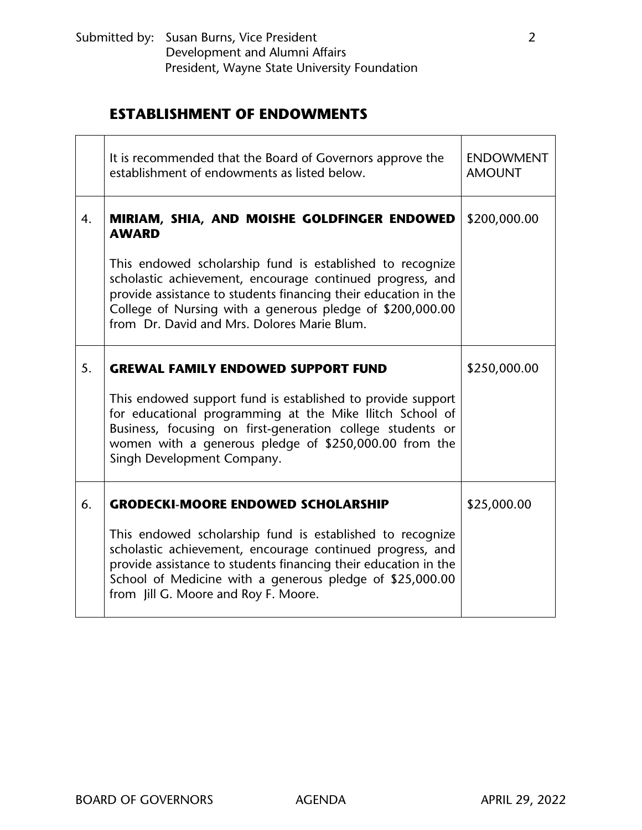|    | It is recommended that the Board of Governors approve the<br>establishment of endowments as listed below.                                                                                                                                                                                             | <b>ENDOWMENT</b><br><b>AMOUNT</b> |
|----|-------------------------------------------------------------------------------------------------------------------------------------------------------------------------------------------------------------------------------------------------------------------------------------------------------|-----------------------------------|
| 4. | MIRIAM, SHIA, AND MOISHE GOLDFINGER ENDOWED<br><b>AWARD</b>                                                                                                                                                                                                                                           | \$200,000.00                      |
|    | This endowed scholarship fund is established to recognize<br>scholastic achievement, encourage continued progress, and<br>provide assistance to students financing their education in the<br>College of Nursing with a generous pledge of \$200,000.00<br>from Dr. David and Mrs. Dolores Marie Blum. |                                   |
| 5. | <b>GREWAL FAMILY ENDOWED SUPPORT FUND</b>                                                                                                                                                                                                                                                             | \$250,000.00                      |
|    | This endowed support fund is established to provide support<br>for educational programming at the Mike Ilitch School of<br>Business, focusing on first-generation college students or<br>women with a generous pledge of \$250,000.00 from the<br>Singh Development Company.                          |                                   |
| 6. | <b>GRODECKI-MOORE ENDOWED SCHOLARSHIP</b>                                                                                                                                                                                                                                                             | \$25,000.00                       |
|    | This endowed scholarship fund is established to recognize<br>scholastic achievement, encourage continued progress, and<br>provide assistance to students financing their education in the<br>School of Medicine with a generous pledge of \$25,000.00<br>from Jill G. Moore and Roy F. Moore.         |                                   |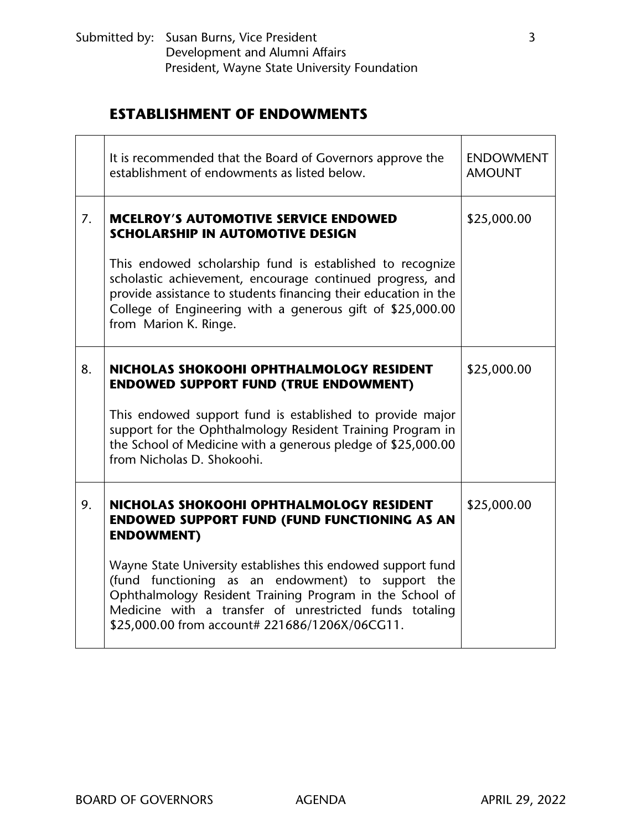| It is recommended that the Board of Governors approve the<br>establishment of endowments as listed below.                                                                                                                                                                                                                                                        | <b>ENDOWMENT</b><br><b>AMOUNT</b>              |
|------------------------------------------------------------------------------------------------------------------------------------------------------------------------------------------------------------------------------------------------------------------------------------------------------------------------------------------------------------------|------------------------------------------------|
| <b>MCELROY'S AUTOMOTIVE SERVICE ENDOWED</b><br><b>SCHOLARSHIP IN AUTOMOTIVE DESIGN</b>                                                                                                                                                                                                                                                                           | \$25,000.00                                    |
| This endowed scholarship fund is established to recognize<br>scholastic achievement, encourage continued progress, and<br>provide assistance to students financing their education in the<br>College of Engineering with a generous gift of \$25,000.00<br>from Marion K. Ringe.                                                                                 |                                                |
| NICHOLAS SHOKOOHI OPHTHALMOLOGY RESIDENT<br><b>ENDOWED SUPPORT FUND (TRUE ENDOWMENT)</b><br>This endowed support fund is established to provide major<br>support for the Ophthalmology Resident Training Program in<br>the School of Medicine with a generous pledge of \$25,000.00<br>from Nicholas D. Shokoohi.                                                | \$25,000.00                                    |
| NICHOLAS SHOKOOHI OPHTHALMOLOGY RESIDENT<br><b>ENDOWED SUPPORT FUND (FUND FUNCTIONING AS AN</b><br><b>ENDOWMENT)</b><br>Wayne State University establishes this endowed support fund<br>(fund functioning as an endowment) to support the<br>Ophthalmology Resident Training Program in the School of<br>Medicine with a transfer of unrestricted funds totaling | \$25,000.00                                    |
|                                                                                                                                                                                                                                                                                                                                                                  | \$25,000.00 from account# 221686/1206X/06CG11. |